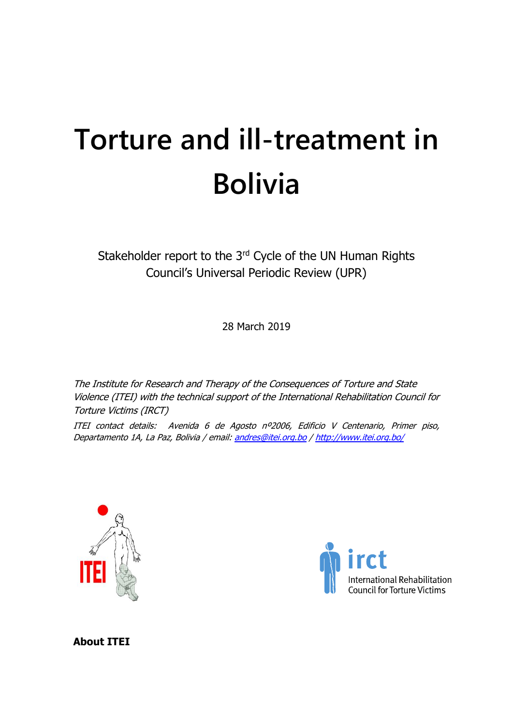# **Torture and ill-treatment in Bolivia**

Stakeholder report to the 3<sup>rd</sup> Cycle of the UN Human Rights Council's Universal Periodic Review (UPR)

28 March 2019

The Institute for Research and Therapy of the Consequences of Torture and State Violence (ITEI) with the technical support of the International Rehabilitation Council for Torture Victims (IRCT)

ITEI contact details: Avenida 6 de Agosto nº2006, Edificio V Centenario, Primer piso, Departamento 1A, La Paz, Bolivia / email: [andres@itei.org.bo](mailto:andres@itei.org.bo) [/ http://www.itei.org.bo/](http://www.itei.org.bo/)





**About ITEI**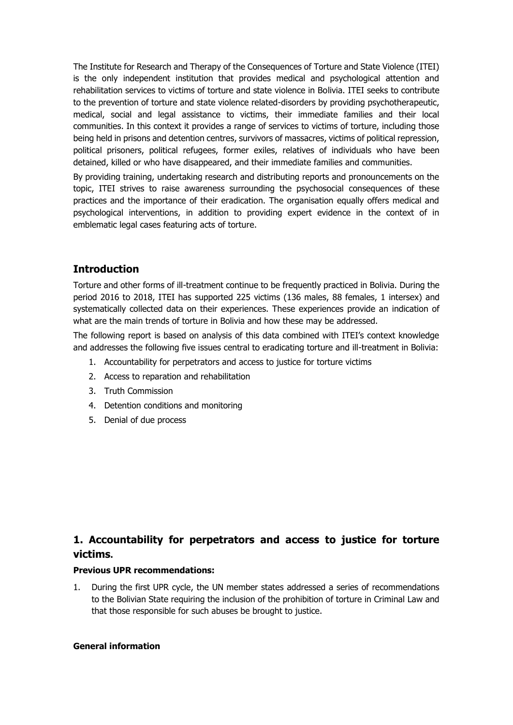The Institute for Research and Therapy of the Consequences of Torture and State Violence (ITEI) is the only independent institution that provides medical and psychological attention and rehabilitation services to victims of torture and state violence in Bolivia. ITEI seeks to contribute to the prevention of torture and state violence related-disorders by providing psychotherapeutic, medical, social and legal assistance to victims, their immediate families and their local communities. In this context it provides a range of services to victims of torture, including those being held in prisons and detention centres, survivors of massacres, victims of political repression, political prisoners, political refugees, former exiles, relatives of individuals who have been detained, killed or who have disappeared, and their immediate families and communities.

By providing training, undertaking research and distributing reports and pronouncements on the topic, ITEI strives to raise awareness surrounding the psychosocial consequences of these practices and the importance of their eradication. The organisation equally offers medical and psychological interventions, in addition to providing expert evidence in the context of in emblematic legal cases featuring acts of torture.

# **Introduction**

Torture and other forms of ill-treatment continue to be frequently practiced in Bolivia. During the period 2016 to 2018, ITEI has supported 225 victims (136 males, 88 females, 1 intersex) and systematically collected data on their experiences. These experiences provide an indication of what are the main trends of torture in Bolivia and how these may be addressed.

The following report is based on analysis of this data combined with ITEI's context knowledge and addresses the following five issues central to eradicating torture and ill-treatment in Bolivia:

- 1. Accountability for perpetrators and access to justice for torture victims
- 2. Access to reparation and rehabilitation
- 3. Truth Commission
- 4. Detention conditions and monitoring
- 5. Denial of due process

# **1. Accountability for perpetrators and access to justice for torture victims.**

#### **Previous UPR recommendations:**

1. During the first UPR cycle, the UN member states addressed a series of recommendations to the Bolivian State requiring the inclusion of the prohibition of torture in Criminal Law and that those responsible for such abuses be brought to justice.

#### **General information**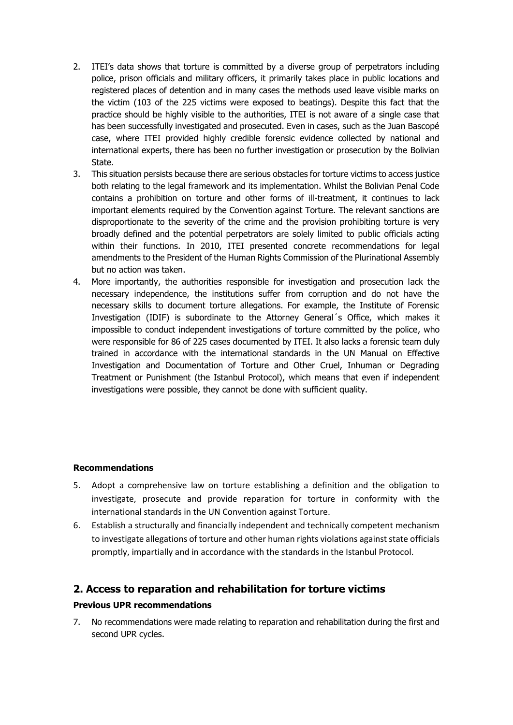- 2. ITEI's data shows that torture is committed by a diverse group of perpetrators including police, prison officials and military officers, it primarily takes place in public locations and registered places of detention and in many cases the methods used leave visible marks on the victim (103 of the 225 victims were exposed to beatings). Despite this fact that the practice should be highly visible to the authorities, ITEI is not aware of a single case that has been successfully investigated and prosecuted. Even in cases, such as the Juan Bascopé case, where ITEI provided highly credible forensic evidence collected by national and international experts, there has been no further investigation or prosecution by the Bolivian State.
- 3. This situation persists because there are serious obstacles for torture victims to access justice both relating to the legal framework and its implementation. Whilst the Bolivian Penal Code contains a prohibition on torture and other forms of ill-treatment, it continues to lack important elements required by the Convention against Torture. The relevant sanctions are disproportionate to the severity of the crime and the provision prohibiting torture is very broadly defined and the potential perpetrators are solely limited to public officials acting within their functions. In 2010, ITEI presented concrete recommendations for legal amendments to the President of the Human Rights Commission of the Plurinational Assembly but no action was taken.
- 4. More importantly, the authorities responsible for investigation and prosecution lack the necessary independence, the institutions suffer from corruption and do not have the necessary skills to document torture allegations. For example, the Institute of Forensic Investigation (IDIF) is subordinate to the Attorney General´s Office, which makes it impossible to conduct independent investigations of torture committed by the police, who were responsible for 86 of 225 cases documented by ITEI. It also lacks a forensic team duly trained in accordance with the international standards in the UN Manual on Effective Investigation and Documentation of Torture and Other Cruel, Inhuman or Degrading Treatment or Punishment (the Istanbul Protocol), which means that even if independent investigations were possible, they cannot be done with sufficient quality.

#### **Recommendations**

- 5. Adopt a comprehensive law on torture establishing a definition and the obligation to investigate, prosecute and provide reparation for torture in conformity with the international standards in the UN Convention against Torture.
- 6. Establish a structurally and financially independent and technically competent mechanism to investigate allegations of torture and other human rights violations against state officials promptly, impartially and in accordance with the standards in the Istanbul Protocol.

# **2. Access to reparation and rehabilitation for torture victims**

#### **Previous UPR recommendations**

7. No recommendations were made relating to reparation and rehabilitation during the first and second UPR cycles.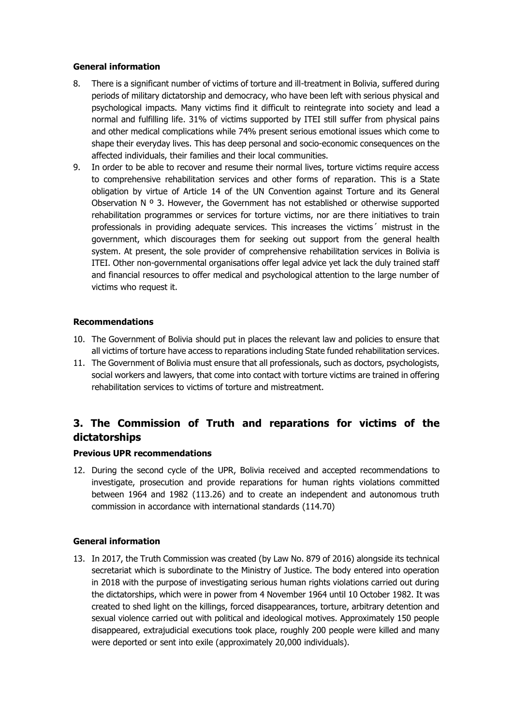## **General information**

- 8. There is a significant number of victims of torture and ill-treatment in Bolivia, suffered during periods of military dictatorship and democracy, who have been left with serious physical and psychological impacts. Many victims find it difficult to reintegrate into society and lead a normal and fulfilling life. 31% of victims supported by ITEI still suffer from physical pains and other medical complications while 74% present serious emotional issues which come to shape their everyday lives. This has deep personal and socio-economic consequences on the affected individuals, their families and their local communities.
- 9. In order to be able to recover and resume their normal lives, torture victims require access to comprehensive rehabilitation services and other forms of reparation. This is a State obligation by virtue of Article 14 of the UN Convention against Torture and its General Observation  $N^o$  3. However, the Government has not established or otherwise supported rehabilitation programmes or services for torture victims, nor are there initiatives to train professionals in providing adequate services. This increases the victims´ mistrust in the government, which discourages them for seeking out support from the general health system. At present, the sole provider of comprehensive rehabilitation services in Bolivia is ITEI. Other non-governmental organisations offer legal advice yet lack the duly trained staff and financial resources to offer medical and psychological attention to the large number of victims who request it.

# **Recommendations**

- 10. The Government of Bolivia should put in places the relevant law and policies to ensure that all victims of torture have access to reparations including State funded rehabilitation services.
- 11. The Government of Bolivia must ensure that all professionals, such as doctors, psychologists, social workers and lawyers, that come into contact with torture victims are trained in offering rehabilitation services to victims of torture and mistreatment.

# **3. The Commission of Truth and reparations for victims of the dictatorships**

#### **Previous UPR recommendations**

12. During the second cycle of the UPR, Bolivia received and accepted recommendations to investigate, prosecution and provide reparations for human rights violations committed between 1964 and 1982 (113.26) and to create an independent and autonomous truth commission in accordance with international standards (114.70)

# **General information**

13. In 2017, the Truth Commission was created (by Law No. 879 of 2016) alongside its technical secretariat which is subordinate to the Ministry of Justice. The body entered into operation in 2018 with the purpose of investigating serious human rights violations carried out during the dictatorships, which were in power from 4 November 1964 until 10 October 1982. It was created to shed light on the killings, forced disappearances, torture, arbitrary detention and sexual violence carried out with political and ideological motives. Approximately 150 people disappeared, extrajudicial executions took place, roughly 200 people were killed and many were deported or sent into exile (approximately 20,000 individuals).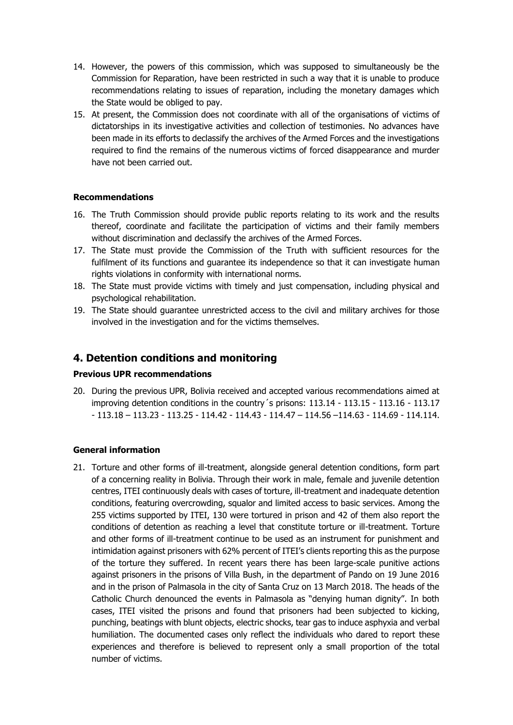- 14. However, the powers of this commission, which was supposed to simultaneously be the Commission for Reparation, have been restricted in such a way that it is unable to produce recommendations relating to issues of reparation, including the monetary damages which the State would be obliged to pay.
- 15. At present, the Commission does not coordinate with all of the organisations of victims of dictatorships in its investigative activities and collection of testimonies. No advances have been made in its efforts to declassify the archives of the Armed Forces and the investigations required to find the remains of the numerous victims of forced disappearance and murder have not been carried out.

## **Recommendations**

- 16. The Truth Commission should provide public reports relating to its work and the results thereof, coordinate and facilitate the participation of victims and their family members without discrimination and declassify the archives of the Armed Forces.
- 17. The State must provide the Commission of the Truth with sufficient resources for the fulfilment of its functions and guarantee its independence so that it can investigate human rights violations in conformity with international norms.
- 18. The State must provide victims with timely and just compensation, including physical and psychological rehabilitation.
- 19. The State should guarantee unrestricted access to the civil and military archives for those involved in the investigation and for the victims themselves.

# **4. Detention conditions and monitoring**

#### **Previous UPR recommendations**

20. During the previous UPR, Bolivia received and accepted various recommendations aimed at improving detention conditions in the country´s prisons: 113.14 - 113.15 - 113.16 - 113.17 - 113.18 – 113.23 - 113.25 - 114.42 - 114.43 - 114.47 – 114.56 –114.63 - 114.69 - 114.114.

#### **General information**

21. Torture and other forms of ill-treatment, alongside general detention conditions, form part of a concerning reality in Bolivia. Through their work in male, female and juvenile detention centres, ITEI continuously deals with cases of torture, ill-treatment and inadequate detention conditions, featuring overcrowding, squalor and limited access to basic services. Among the 255 victims supported by ITEI, 130 were tortured in prison and 42 of them also report the conditions of detention as reaching a level that constitute torture or ill-treatment. Torture and other forms of ill-treatment continue to be used as an instrument for punishment and intimidation against prisoners with 62% percent of ITEI's clients reporting this as the purpose of the torture they suffered. In recent years there has been large-scale punitive actions against prisoners in the prisons of Villa Bush, in the department of Pando on 19 June 2016 and in the prison of Palmasola in the city of Santa Cruz on 13 March 2018. The heads of the Catholic Church denounced the events in Palmasola as "denying human dignity". In both cases, ITEI visited the prisons and found that prisoners had been subjected to kicking, punching, beatings with blunt objects, electric shocks, tear gas to induce asphyxia and verbal humiliation. The documented cases only reflect the individuals who dared to report these experiences and therefore is believed to represent only a small proportion of the total number of victims.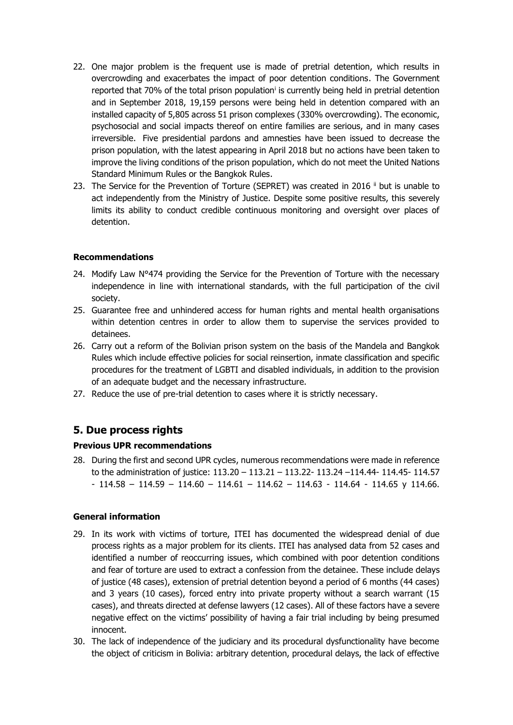- 22. One major problem is the frequent use is made of pretrial detention, which results in overcrowding and exacerbates the impact of poor detention conditions. The Government reported that 70% of the total prison population<sup>i</sup> is currently being held in pretrial detention and in September 2018, 19,159 persons were being held in detention compared with an installed capacity of 5,805 across 51 prison complexes (330% overcrowding). The economic, psychosocial and social impacts thereof on entire families are serious, and in many cases irreversible. Five presidential pardons and amnesties have been issued to decrease the prison population, with the latest appearing in April 2018 but no actions have been taken to improve the living conditions of the prison population, which do not meet the United Nations Standard Minimum Rules or the Bangkok Rules.
- 23. The Service for the Prevention of Torture (SEPRET) was created in 2016 ii but is unable to act independently from the Ministry of Justice. Despite some positive results, this severely limits its ability to conduct credible continuous monitoring and oversight over places of detention.

# **Recommendations**

- 24. Modify Law N°474 providing the Service for the Prevention of Torture with the necessary independence in line with international standards, with the full participation of the civil society.
- 25. Guarantee free and unhindered access for human rights and mental health organisations within detention centres in order to allow them to supervise the services provided to detainees.
- 26. Carry out a reform of the Bolivian prison system on the basis of the Mandela and Bangkok Rules which include effective policies for social reinsertion, inmate classification and specific procedures for the treatment of LGBTI and disabled individuals, in addition to the provision of an adequate budget and the necessary infrastructure.
- 27. Reduce the use of pre-trial detention to cases where it is strictly necessary.

# **5. Due process rights**

#### **Previous UPR recommendations**

28. During the first and second UPR cycles, numerous recommendations were made in reference to the administration of justice: 113.20 – 113.21 – 113.22- 113.24 –114.44- 114.45- 114.57  $- 114.58 - 114.59 - 114.60 - 114.61 - 114.62 - 114.63 - 114.64 - 114.65$  y 114.66.

# **General information**

- 29. In its work with victims of torture, ITEI has documented the widespread denial of due process rights as a major problem for its clients. ITEI has analysed data from 52 cases and identified a number of reoccurring issues, which combined with poor detention conditions and fear of torture are used to extract a confession from the detainee. These include delays of justice (48 cases), extension of pretrial detention beyond a period of 6 months (44 cases) and 3 years (10 cases), forced entry into private property without a search warrant (15 cases), and threats directed at defense lawyers (12 cases). All of these factors have a severe negative effect on the victims' possibility of having a fair trial including by being presumed innocent.
- 30. The lack of independence of the judiciary and its procedural dysfunctionality have become the object of criticism in Bolivia: arbitrary detention, procedural delays, the lack of effective